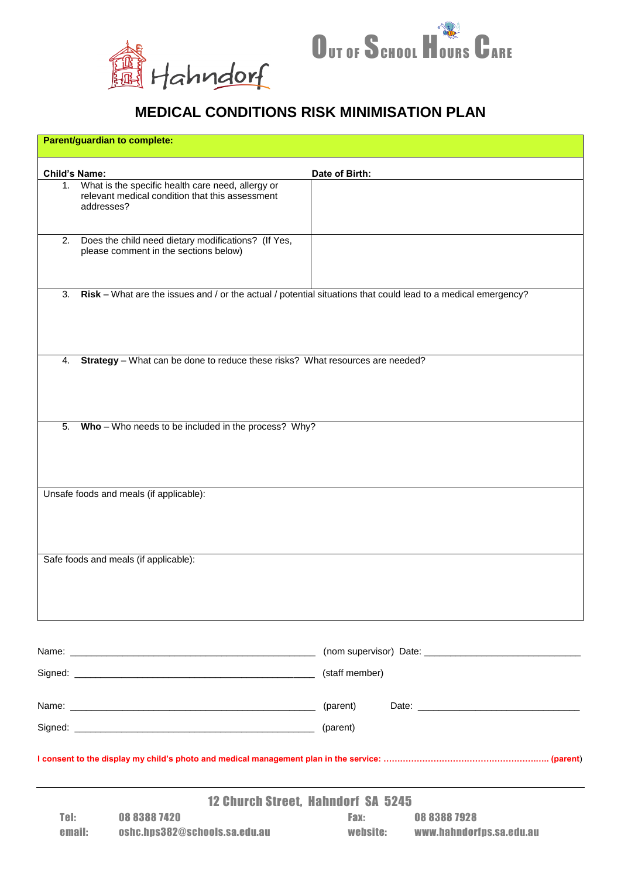



## **MEDICAL CONDITIONS RISK MINIMISATION PLAN**

|                                           | Parent/guardian to complete:                                                                                       |                                                            |  |  |
|-------------------------------------------|--------------------------------------------------------------------------------------------------------------------|------------------------------------------------------------|--|--|
| <b>Child's Name:</b>                      |                                                                                                                    |                                                            |  |  |
| 1.                                        | What is the specific health care need, allergy or<br>relevant medical condition that this assessment<br>addresses? | Date of Birth:                                             |  |  |
| 2.                                        | Does the child need dietary modifications? (If Yes,<br>please comment in the sections below)                       |                                                            |  |  |
| 3.                                        | Risk – What are the issues and / or the actual / potential situations that could lead to a medical emergency?      |                                                            |  |  |
| 4.                                        | Strategy - What can be done to reduce these risks? What resources are needed?                                      |                                                            |  |  |
| 5.                                        | Who - Who needs to be included in the process? Why?                                                                |                                                            |  |  |
|                                           | Unsafe foods and meals (if applicable):                                                                            |                                                            |  |  |
|                                           | Safe foods and meals (if applicable):                                                                              |                                                            |  |  |
|                                           |                                                                                                                    |                                                            |  |  |
|                                           |                                                                                                                    | (staff member)                                             |  |  |
|                                           |                                                                                                                    |                                                            |  |  |
|                                           |                                                                                                                    |                                                            |  |  |
|                                           |                                                                                                                    |                                                            |  |  |
| <b>12 Church Street, Hahndorf SA 5245</b> |                                                                                                                    |                                                            |  |  |
| Tel:<br>email:                            | 08 8388 7420<br>oshc.hps382@schools.sa.edu.au                                                                      | 0883887928<br>Fax:<br>website:<br>www.hahndorfps.sa.edu.au |  |  |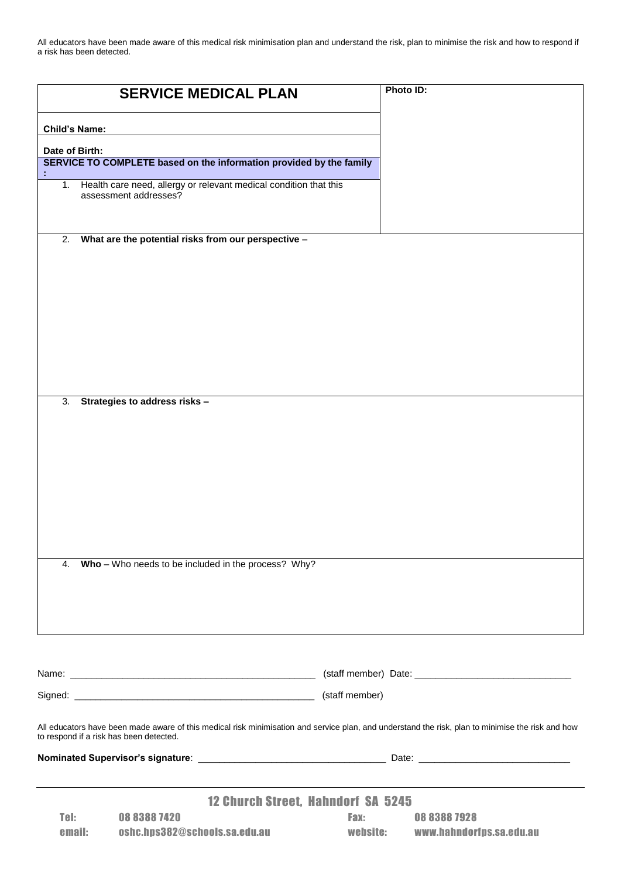All educators have been made aware of this medical risk minimisation plan and understand the risk, plan to minimise the risk and how to respond if a risk has been detected.

|                                                                                                                                                                                              | <b>SERVICE MEDICAL PLAN</b>                                                                | Photo ID: |                          |  |  |
|----------------------------------------------------------------------------------------------------------------------------------------------------------------------------------------------|--------------------------------------------------------------------------------------------|-----------|--------------------------|--|--|
| <b>Child's Name:</b>                                                                                                                                                                         |                                                                                            |           |                          |  |  |
| Date of Birth:                                                                                                                                                                               |                                                                                            |           |                          |  |  |
|                                                                                                                                                                                              | SERVICE TO COMPLETE based on the information provided by the family                        |           |                          |  |  |
| 1.                                                                                                                                                                                           | Health care need, allergy or relevant medical condition that this<br>assessment addresses? |           |                          |  |  |
| 2.                                                                                                                                                                                           | What are the potential risks from our perspective -                                        |           |                          |  |  |
|                                                                                                                                                                                              |                                                                                            |           |                          |  |  |
| 3.                                                                                                                                                                                           | Strategies to address risks -                                                              |           |                          |  |  |
| 4.                                                                                                                                                                                           | Who - Who needs to be included in the process? Why?                                        |           |                          |  |  |
|                                                                                                                                                                                              |                                                                                            |           |                          |  |  |
|                                                                                                                                                                                              |                                                                                            |           |                          |  |  |
|                                                                                                                                                                                              |                                                                                            |           |                          |  |  |
|                                                                                                                                                                                              |                                                                                            |           |                          |  |  |
| All educators have been made aware of this medical risk minimisation and service plan, and understand the risk, plan to minimise the risk and how<br>to respond if a risk has been detected. |                                                                                            |           |                          |  |  |
|                                                                                                                                                                                              |                                                                                            |           |                          |  |  |
|                                                                                                                                                                                              | <b>12 Church Street, Hahndorf SA 5245</b>                                                  |           |                          |  |  |
| Tel:                                                                                                                                                                                         | 0883887420                                                                                 | Fax:      | 0883887928               |  |  |
| email:                                                                                                                                                                                       | oshc.hps382@schools.sa.edu.au                                                              | website:  | www.hahndorfps.sa.edu.au |  |  |